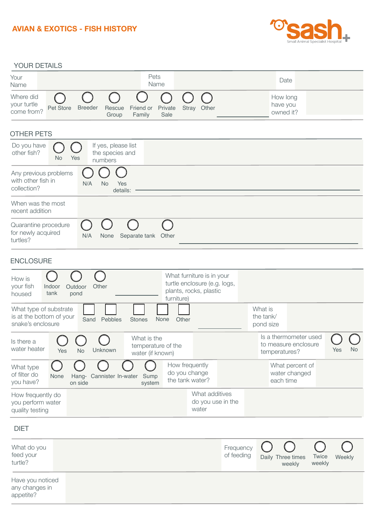## **AVIAN & EXOTICS - FISH HISTORY**



| YOUR DETAILS                                                                                                |                                                       |                                                                                     |                         |                                                                |                 |           |
|-------------------------------------------------------------------------------------------------------------|-------------------------------------------------------|-------------------------------------------------------------------------------------|-------------------------|----------------------------------------------------------------|-----------------|-----------|
| Your<br>Name                                                                                                | Pets<br>Name                                          |                                                                                     |                         | Date                                                           |                 |           |
| Where did<br>C<br>your turtle<br>Pet Store<br><b>Breeder</b><br>Rescue<br>come from?<br>Group               | Private<br>Friend or<br>Family<br>Sale                | Stray Other                                                                         |                         | How long<br>have you<br>owned it?                              |                 |           |
| <b>OTHER PETS</b>                                                                                           |                                                       |                                                                                     |                         |                                                                |                 |           |
| Do you have<br>If yes, please list<br>other fish?<br>the species and<br>Yes<br><b>No</b><br>numbers         |                                                       |                                                                                     |                         |                                                                |                 |           |
| Any previous problems<br>with other fish in<br>N/A<br><b>No</b><br>Yes<br>collection?<br>details:           |                                                       |                                                                                     |                         |                                                                |                 |           |
| When was the most<br>recent addition                                                                        |                                                       |                                                                                     |                         |                                                                |                 |           |
| €<br>Quarantine procedure<br>for newly acquired<br>N/A<br>None<br>Separate tank<br>turtles?                 | Other                                                 |                                                                                     |                         |                                                                |                 |           |
| <b>ENCLOSURE</b>                                                                                            |                                                       |                                                                                     |                         |                                                                |                 |           |
| How is<br>your fish<br>Indoor<br>Other<br>Outdoor<br>tank<br>housed<br>pond                                 | furniture)                                            | What furniture is in your<br>turtle enclosure (e.g. logs,<br>plants, rocks, plastic |                         |                                                                |                 |           |
| What type of substrate<br>is at the bottom of your<br>Sand<br>Pebbles<br><b>Stones</b><br>snake's enclosure | None<br>Other                                         |                                                                                     |                         | What is<br>the tank/<br>pond size                              |                 |           |
| Is there a<br>water heater<br>Unknown<br>Yes<br><b>No</b>                                                   | What is the<br>temperature of the<br>water (if known) |                                                                                     |                         | Is a thermometer used<br>to measure enclosure<br>temperatures? |                 | Yes<br>No |
| What type<br>of filter do<br>Cannister In-water<br>None<br>Hang-<br>you have?<br>on side                    | Sump<br>system                                        | How frequently<br>do you change<br>the tank water?                                  |                         | What percent of<br>water changed<br>each time                  |                 |           |
| How frequently do<br>you perform water<br>quality testing                                                   |                                                       | What additives<br>do you use in the<br>water                                        |                         |                                                                |                 |           |
| <b>DIET</b>                                                                                                 |                                                       |                                                                                     |                         |                                                                |                 |           |
| What do you<br>feed your<br>turtle?                                                                         |                                                       |                                                                                     | Frequency<br>of feeding | Daily Three times<br>weekly                                    | Twice<br>weekly | Weekly    |
| Have you noticed<br>any changes in<br>appetite?                                                             |                                                       |                                                                                     |                         |                                                                |                 |           |